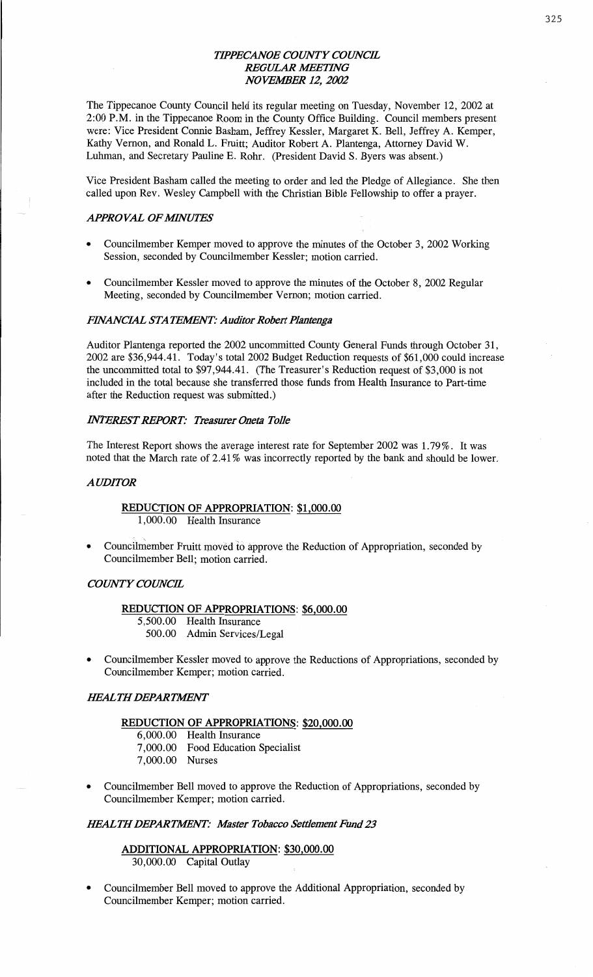## *TH'PECANOE COUNTY COWCE*  **REGULAR MEETING** *NOVEMER* 12, *2002*

The **Tippecanoe** County Council held its regular meeting on Tuesday, November 12, 2002 at 2:00 **P.M.** in the **Tippecanoe** Room in the County Office **Building.** Council **members** present were: Vice President **Connie** Basham, Jeffrey Kessler, Margaret K. Bell, Jeffrey A. Kemper, **Kathy** Vernon, and Ronald L. Pruitt; Auditor Robert A. **Plantenga,** Attorney David W. **Luhman,** and Secretary Pauline E. Rohr. (President David S. Byers was absent.)

Vice President **Basham** called the meeting to order and led the Pledge of Allegiance. She then called upon Rev. Wesley Campbell with the Christian Bible Fellowship to offer a prayer.

## *APPROVAL OFMVUYES*

- Councilmember Kemper moved to approve the minutes of the October 3, 2002 Working Session, seconded by Councilmember Kessler; motion carried.
- Councilmember Kessler moved to approve the **minutes** of the October 8, 2002 Regular Meeting, seconded by Councilmember Vernon; motion carried.

#### *PflVANCML* STA *IEWNT: Auditor Roben' Plantenga*

Auditor **Plantenga** reported the 2002 uncommitted **County** General Funds through October 31, 2002 are \$36,944.41. Today's total 2002 Budget Reduction requests of \$61,000 could **increase**  the uncommitted total to \$97,944.41. (The Treasurer's Reduction request of \$3,000 is not included in the total because she transferred those funds from Health Insurance to Part-time after the Reduction request was submitted.)

## *MERES'T REPORT: Treasurer Oneta Tolle*

The Interest **Report** shows the average interest rate for September **2002** was **1.79%.** It was noted that the March rate of **2.41%** was incorrectly reported by the bank and should be lower.

#### *A UDITOR*

## **REDUCTION** OF **APPROPRIATION:** \$1,000.00

1,000.00 Health Insurance

**0** Councilniember Fruitt **movéd** i6 approve the Reduction of Appropriation, **seconded** by Councilmember **Bell; motion** carried.

#### *COWTY COUNCIL*

#### **REDUCTION** OF **APPROPRIATIONS:** \$6,000.00

- 5,500.00 Health Insurance
	- 500.00 Admin Services/Legal
- **o Councilmember** Kessler **moved** to approve the **Reductions** 'of **Appropriations,** seconded by Councilmember Kemper; **motion** carried.

## **IEALTH DEPARTMENT**

#### **REDUCTION** OF **APPROPRIATIONS: \$20,000.00**

- 6,000.00 Health **Insurance**
- 7,000.00 Food Education Specialist
- 7,000.00 Nurses
- **<sup>0</sup>**Councilmember Bell moved to **approve** the Reduction of **Appropriations,** seconded by Councilmember Kemper; motion carried.

#### *MALTHDEPARMNT: Master Tobacco Settlement Fund* 23

## **ADDITIONAL APPROPRIATION:** \$30,000.00 30,000.00 Capital Outlay

**o** Councilmember Bell **moved** to **approve** the **Additional Appropriation, seconded** by Councilmember Kemper; **motion** carried.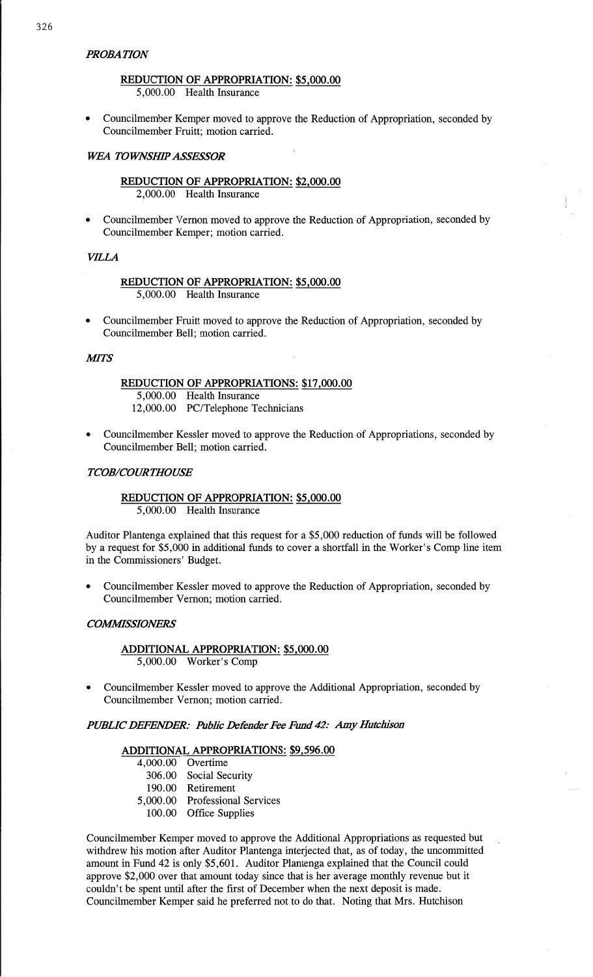## *PROBA TION*

## **REDUCTION** OF **APPROPRIATION: \$5,000.00**  5,000.00 Health Insurance

**0** Councilmember Kemper moved to approve the Reduction of Appropriation, seconded by Councilmember Pruitt; motion carried.

#### *WEA TOWNSHIP ASSESSOR*

## **REDUCTION** OF APPROPRIATION: \$2,000.00 2,000.00 Health Insurance

**0** Councilmember Vernon moved to approve the Reduction of Appropriation, seconded by Councilmember Kemper; motion carried.

### *VILLA*

#### **REDUCTION** OF **APPROPRIATION:** \$5,000.00 5,000.00 Health Insurance

**I** Councilmember Pruitt moved to approve the Reduction of Appropriation, seconded by Councilmember Bell; motion carried.

#### **MITS**

#### REDUCTION OF APPROPRIATIONS: **\$17,000.00**  5,000.00 **Health** Insurance 12,000.00 PC/Telephone **Technicians**

**o** Councilmember Kessler **moved** to approve the Reduction of Appropriations, seconded by Councilmember Bell; motion carried.

#### *T COB/COUR THOUSE*

## **REDUCTION** OF **APPROPRIATION:** \$5 ,000.00 5,000.00 Health Insurance

Auditor Plantenga explained that **this** request for **a** \$5,000 reduction of **funds** will be followed by a request for \$5,000 in additional funds to cover **a** shortfall in the Worker's **Comp** line item in the Commissioners' Budget.

**0** Councilmember Kessler moved to approve the Reduction of Appropriation, seconded by Councilmember Vernon; motion carried.

#### *COMMSSIONERS*

## **ADDITIONAL APPROPRIATION:** \$5,000.00 5,000.00 Worker's **Comp**

**0** Councilmember Kessler moved to approve the Additional Appropriation, seconded by Councilmember Vernon; motion carried.

*PUBLIC DEFENDER: Public Defender* Fee *Fund* 42: Amy *Hutchison* 

## **ADDITIONAL APPROPRIATIONS:** \$9,596.00

- 4,000.00 Overtime ,
	- 306.00 Social Security
	- 190.00 Retirement
- 5,000.00 Professional Services
	- 100.00 Office Supplies

Councilmember Kemper moved to approve the Additional Appropriations as requested but withdrew his motion after Auditor Plantenga interjected **that,** as of today, the uncommitted amount in Fund 42 is only \$5,601. Auditor Plantenga explained that the Council could approve \$2,000 over that amount today since that is her average monthly revenue but it couldn't be spent until after the first of December when the **next** deposit is made. Councilmember Kemper said he preferred not to do that. Noting that Mrs. Hutchison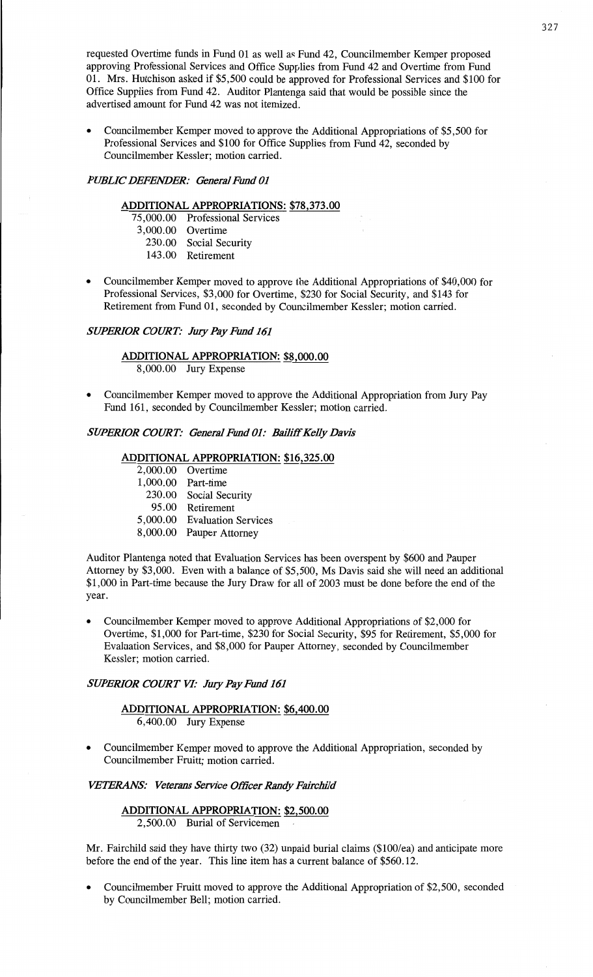requested Overtime **funds** in Fund 01 as well as Fund 42, Councilmember Kemper **proposed**  approving **Professional** Services and **Office Supplies** from Fund 42 and Overtime from Fund 01. **Mrs. Hutchison** asked if \$5,500 could be approved for Professional Services and \$100 for Office Supplies from Fund 42. Auditor Plantenga **said** that would be possible **since** the **advertised amount** for Fund 42 was not itemized.

**o** Councilmember Kemper **moved** to approve the Additional **Appropriations** of \$5,500 for **Professional** Services and \$100 for Office **Supplies** from **Fund** 42, **seconded** by Councilmember Kessler; **motion** carried.

#### *PUBLIC DEFENDER: General Fund* 01

## **ADDITIONAL APPROPRIATIONS:** \$78,373.00

75,000.00 **Professional Services** 

- 3,000.00 Overtime
	- 230.00 Social Security
- 143.00 Retirement
- **0** Councilmember Kemper **moved** to approve the Additional Appropriations of \$40,000 for Professional Services, \$3,000 for Overtime, \$230 for Social Security, and \$143 for Retirement from Fund 01, seconded by Councilmember Kessler; motion carried.

#### *SUPERIOR COURT: JuzyPay Fund* 161

## **ADDITIONAL APPROPRIATION: \$8,000.00**  8,000.00 Jury **Expense**

**o** Councilmember Kemper moved to approve the **Additional** Appropriation from Jury Pay Fund 161, seconded by Councilmember Kessler; **motion** carried.

# *SUPERIOR COURT: General Fund 01: Bailiff Kelly Davis*

#### **ADDITIONAL APPROPRIATION: \$16,325.00**

- 2,000.00 Overtime
- **1** , 000. 00 Part—time
	- 230.00 Social Security
- 95.00 Retirement
- 5,000.00 Evaluation Services
- 8,000.00 Pauper Attorney

Auditor Plantenga noted that Evaluation Services has **been** overspent by \$600 and Pauper Attorney by \$3,000. Even with a **balance** of \$5,500, Ms **Davis** said she will **need** an additional \$1,000 in Part-time because the Jury Draw for all of 2003 must be done before the end of the year.

**<sup>0</sup>**Councilmember Kemper **moved** to approve **Additional** Appropriations of \$2,000 for Overtime, \$1,000 for Part-time, \$230 for Social Security, \$95 for Retirement, \$5,000 for Evaluation Services, and \$8,000 for **Pauper** Attorney, **seconded** by **Councilmember**  Kessler; motion carried.

## *SWERIOR COURT* VI: *July PayEmd* 161

# **ADDITIONAL APPROPRIATION: \$6,400.00**

- 6,400.00 Jury **Expense**
- **o** Councilmember Kemper **moved** to approve the **Additional Appropriation,** seconded by Councilmember Fruitt; **motion carried.**

#### *VETERANS:* Veterans *Service Officer Randy* Fahchild

#### **ADDITIONAL APPROPRIATION: \$2,500.00**  2,500.00 Burial of **Serviceman**

Mr. Fairchild said they **have** thirty two (32) **unpaid** burial claims (\$100/ea) and anticipate more before the end of the year. **This line** item has a current balance of \$560.12.

**0 Councilmember** Fruitt moved to approve the **Additional Appropriation** of **\$2,500,** seconded by Councilmember Bell; **motion carried.**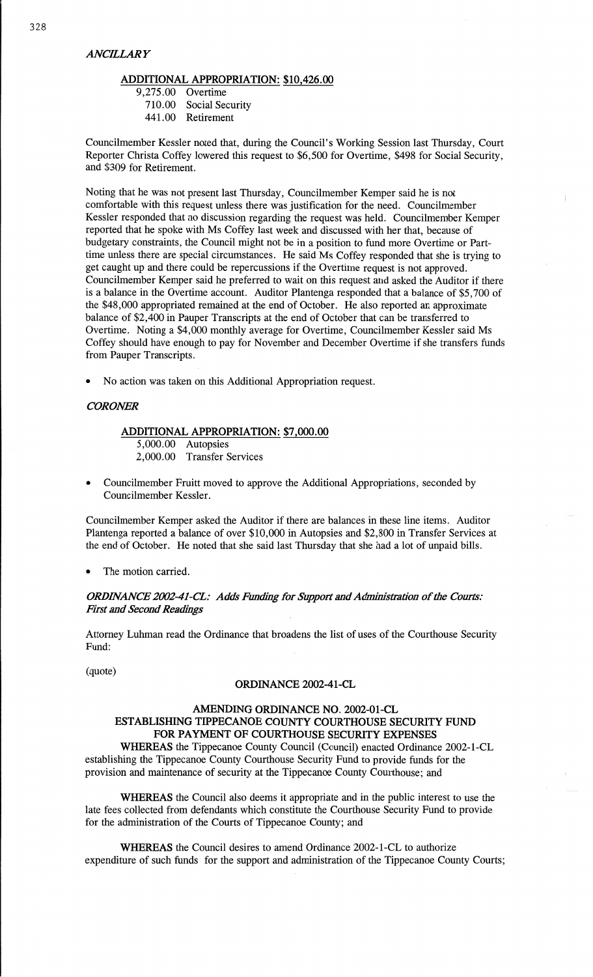#### *ANCELARY*

#### **ADDITIONAL APPROPRIATION:** \$10,426.00

9,275.00 Overtime

710.00 Social Security

441 .00 Retirement

Councilmember Kessler noted that, during the Council's Working Session last Thursday, Court Reporter Christa Coffey lowered this request to \$6,500 for Overtime, \$498 for Social Security, and \$309 for Retirement.

Noting that he was not present last Thursday, Councilmember Kemper said he is not comfortable with **this** request unless **there** was justification for the **need.** Councilmember Kessler responded that no discussion regarding the request was held. Councilmember Kemper reported that he spoke with Ms Coffey last week and discussed with her that, because of budgetary constraints, the Council might not be in a position to fund more Overtime or Parttime unless there are special circumstances. He said Ms Coffey responded that she is trying to get caught up and there could be repercussions if the Overtime request is not approved. Councilmember Kemper **said** he preferred to wait on this request and asked the Auditor if there is **a** balance in the Overtime account. Auditor Plantenga responded **that a** balance of \$5,700 of the \$48,000 appropriated **remained** at the end of October. He **also** reported an **approximate**  balance of \$2,400 in Pauper Transcripts at the end of October that can be transferred to Overtime. Noting a \$4,000 monthly average for Overtime, Councilmember Kessler said Ms Coffey should have enough to pay for November and December Overtime if she transfers funds from Pauper Transcripts.

**0** No action was taken on this Additional Appropriation request.

## *COROAER*

## **ADDITIONAL APPROPRIATION:** \$7,000.00

5,000.00 Autopsies 2,000.00 Transfer Services

**0** Councilmember Pruitt **moved** to approve the Additional Appropriations, seconded by Councilmember Kessler.

Councilmember Kemper asked the **Auditor** if there are balances in these **line** items. Auditor Plantenga reported a balance of over \$10,000 in **Autopsies** and \$2,800 in Transfer Services at the end of October. He noted **that** she **said** last Thursday that she had a lot of unpaid bills.

**0** The motion carried.

## *0RDHVANCE 2002—41—CZ: Adds Rmding* for *Support* and *Admzhistmtion* of the Courts: *First* and *Second Readings*

Attorney **Luhman** read the Ordinance **that** broadens the list of uses of the Courthouse Security Fund:

(quote)

#### **ORDINANCE** 2002-41—CL

## **AMENDING ORDINANCE** NO. **2002-01-CL ESTABLISHING TIPPECANOE COUNTY COURTHOUSE SECURITY FUND**  FOR **PAYMENT** OF **COURTHOUSE SECURITY EXPENSES**

**WHEREAS** the Tippecanoe County Council (Council) enacted Ordinance 2002—1-CL establishing the Tippecanoe County Courthouse Security Fund to provide funds for the provision and maintenance of security at the Tippecanoe County **Courthouse;** and

**WHEREAS** the Council also deems it appropriate and in the public interest to use the late fees collected from defendants which constitute the Courthouse Security Fund to provide for the administration of the Courts of Tippecanoe County; and

**WHEREAS** the Council desires to **amend** Ordinance 2002—1-CL to authorize expenditure of such funds for the support and administration of the Tippecanoe County Courts;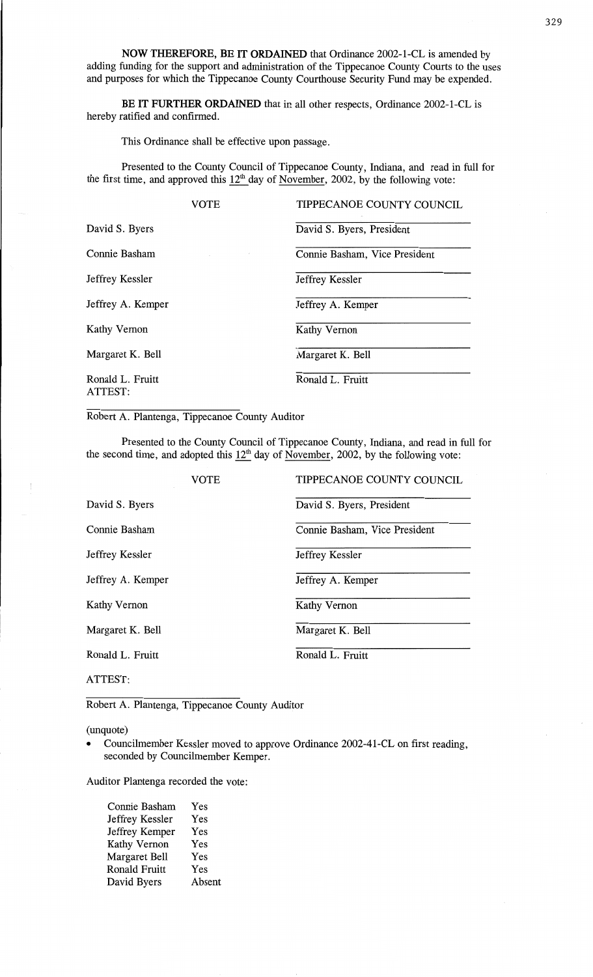NOW **THEREFORE,** BE IT **ORDAINED** that **Ordinance** 2002—1-CL is amended by **adding funding** for the support and administration of the **Tippecanoe** County Courts to the uses and purposes for which the Tippecanoe County Courthouse Security Fund may be expended.

BE IT **FURTHER ORDAINED that** in all other respects, Ordinance 2002-1-CL is hereby ratified and confirmed.

**This** Ordinance shall be effective upon **passage.** 

Presented to the County **Council** of Tippecanoe **County,** Indiana, and read in full for the first time, and approved this  $12<sup>th</sup>$  day of <u>November</u>, 2002, by the following vote:

|                             | VOTE | TIPPECANOE COUNTY COUNCIL     |
|-----------------------------|------|-------------------------------|
| David S. Byers              |      | David S. Byers, President     |
| Connie Basham               |      | Connie Basham, Vice President |
| Jeffrey Kessler             |      | Jeffrey Kessler               |
| Jeffrey A. Kemper           |      | Jeffrey A. Kemper             |
| Kathy Vernon                |      | Kathy Vernon                  |
| Margaret K. Bell            |      | Margaret K. Bell              |
| Ronald L. Fruitt<br>ATTEST: |      | Ronald L. Fruitt              |

Robert A. **Plantenga, Tippecanoe** County **Auditor** 

**Presented** to the County **Council** of Tippecanoe County, **Indiana,** and read in **full** for the second time, and adopted this  $12<sup>th</sup>$  day of November, 2002, by the following vote:

|                   | <b>VOTE</b> | TIPPECANOE COUNTY COUNCIL     |
|-------------------|-------------|-------------------------------|
| David S. Byers    |             | David S. Byers, President     |
| Connie Basham     |             | Connie Basham, Vice President |
| Jeffrey Kessler   |             | Jeffrey Kessler               |
| Jeffrey A. Kemper |             | Jeffrey A. Kemper             |
| Kathy Vernon      |             | Kathy Vernon                  |
| Margaret K. Bell  |             | Margaret K. Bell              |
| Ronald L. Fruitt  |             | Ronald L. Fruitt              |
| ATTEST:           |             |                               |

Robert A. **Plantenga,** Tippecanoe County Auditor

(unquote)

**0** Councilmember Kessler moved to approve Ordinance 2002-41-CL on first reading, seconded by **Councilmember Kemper.** 

Auditor Plantcnga recorded the **vote:** 

| Connie Basham        | Yes    |
|----------------------|--------|
| Jeffrey Kessler      | Yes    |
| Jeffrey Kemper       | Yes    |
| Kathy Vernon         | Yes    |
| <b>Margaret Bell</b> | Yes    |
| <b>Ronald Fruitt</b> | Yes    |
| David Byers          | Absent |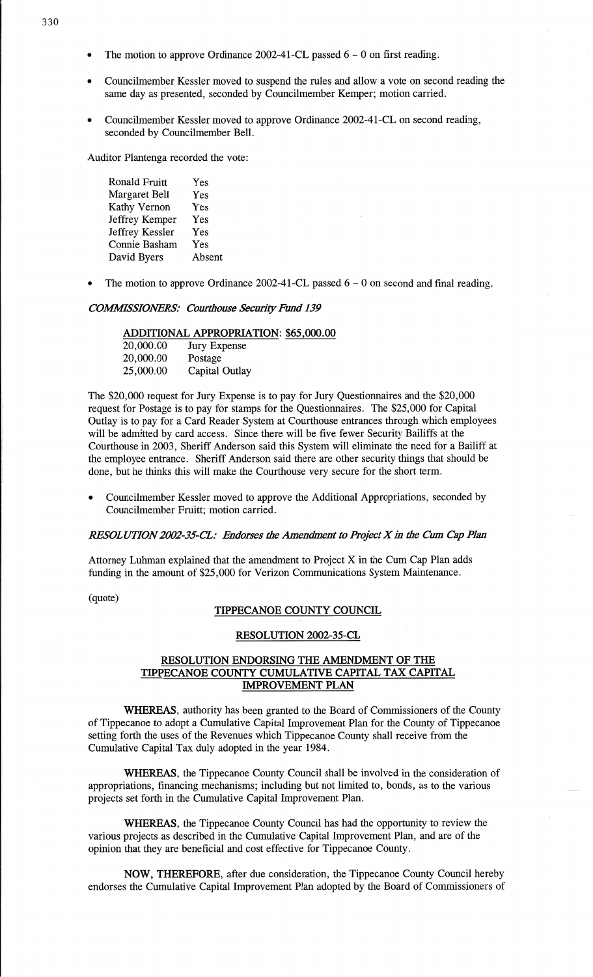- The motion to approve Ordinance 2002-41-CL passed 6 0 on first reading.
- **<sup>0</sup>**Councilmember Kessler moved to suspend the rules and allow **a** vote on second reading the same day as presented, seconded by Councilmember Kemper; motion carried.
- **0** Councilmember Kessler moved to approve Ordinance 2002-41—CL on second reading, seconded by Councilmember Bell.

Auditor **Plantenga** recorded the vote:

| Ronald Fruitt   | Yes    |
|-----------------|--------|
| Margaret Bell   | Yes    |
| Kathy Vernon    | Yes    |
| Jeffrey Kemper  | Yes    |
| Jeffrey Kessler | Yes    |
| Connie Basham   | Yes    |
| David Byers     | Absent |
|                 |        |

Ronald Fruitt Yes

The motion to approve Ordinance 2002-41-CL passed  $6 - 0$  on second and final reading.

#### *COMMSSIOAERS: Cow'tbouse Seculity Fund* 139

#### **ADDITIONAL APPROPRIATION:** \$65,000.00

| 20,000.00 | Jury Expense   |
|-----------|----------------|
| 20,000.00 | Postage        |
| 25,000.00 | Capital Outlay |

The \$20,000 request for Jury Expense is to pay for Jury Questionnaires and the \$20,000 request for Postage is to pay for stamps for the Questionnaires. The \$25,000 for Capital Outlay is to pay for a Card Reader System at Courthouse entrances through which employees will be admitted by card access. Since there will be five fewer Security Bailiffs at the Courthouse in 2003, Sheriff Anderson said this System will eliminate the need for a Bailiff at the employee entrance. Sheriff Anderson **said** there are other security things that should be done, but he **thinks** this will make the Courthouse very secure for the short term.

**0** Councilmember Kessler moved to approve the Additional Appropriations, seconded by Councilmember Pruitt; motion carried.

#### *RESOL UTION 2002-35-61: Endorses* the *Amendment* to *icctX* 1h the Cum Cap *Plan*

Attorney Luhman **explained** that the amendment to Project X in the Cum Cap Plan adds funding in the amount of \$25,000 for Verizon **Communications** System Maintenance.

(quote)

#### **TIPPECANOE** COUNTY **COUNCIL**

#### **RESOLUTION** 2002-35-CL

## **RESOLUTION ENDORSING** THE **AMENDMENT** OF THE TIPPECANOE COUNTY **CUMULATIVE CAPITAL** TAX **CAPITAL IMPROVEMENT PLAN**

**WHEREAS,** authority has been granted to the Board of Commissioners of the County of Tippecanoe to adopt a Cumulative Capital Improvement **Plan** for the County of Tippecanoe setting **forth** the uses of the Revenues which Tippecanoe County shall receive from the Cumulative Capital Tax duly adopted in the year 1984.

WHEREAS, the Tippecanoe County Council **shall** be **involved** in the consideration of appropriations, financing **mechanisms;** including but not limited to, bonds, as to the various projects set forth in the Cumulative Capital Improvement Plan.

**WHEREAS,** the Tippecanoe County Council has had the opportunity to review the various projects as described in the Cumulative Capital Improvement Plan, and are of the opinion **that** they are **beneficial** and cost effective for Tippecanoe County.

NOW, **THEREFORE,** after due consideration, the Tippecanoe County Council hereby endorses the Cumulative Capital Improvement Plan adopted by the Board of **Commissioners** of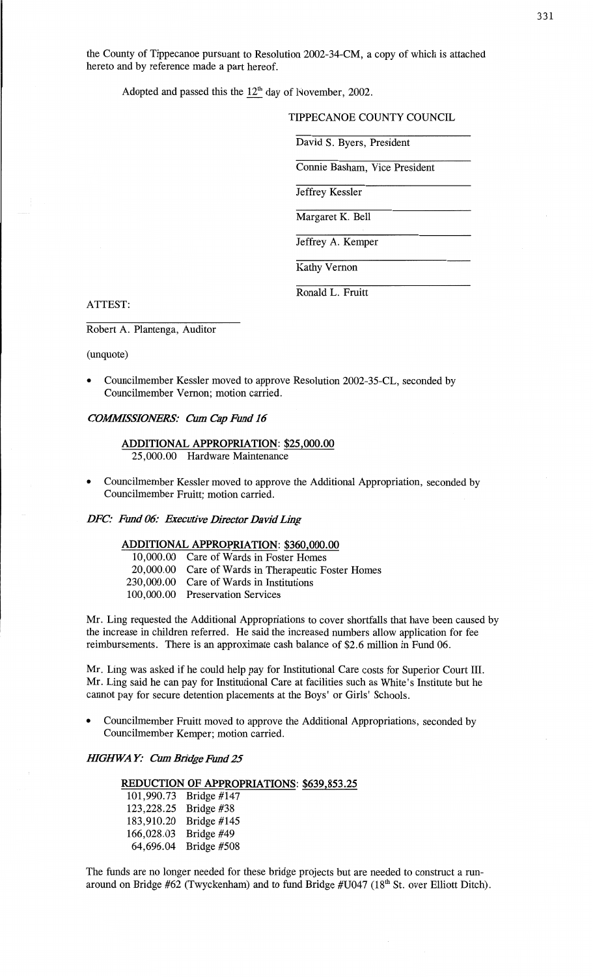the **County** of **Tippecanoe pursuant** to **Resolution** 2002—34—CM, a copy of **which** is attached hereto and by reference made a part **hereof.** 

Adopted and passed this the  $12<sup>th</sup>$  day of November, 2002.

## TIPPECANOE COUNTY COUNCIL

David S. Byers, President

**Connie Basham,** Vice President

Jeffrey Kessler

Margaret K. Bell

Jeffrey A. Kemper

Kathy **Vernon** 

Ronald L. Fruitt

#### **ATTEST:**

#### Robert A. **Plantenga,** Auditor

(unquote)

**o** Councilmember Kessler moved to approve Resolution 2002-35—CL, seconded by Councilmember Vernon; motion carried.

#### *COWSSIOJVERS:* Cum Cap *Fund* 16

#### **ADDITIONAL APPROPRIATION: \$25,000.00**  25,000.00 Hardware Maintenance

**0** Councilmember Kessler **moved** to approve the Additional **Appropriation,** seconded by **Councilmember** Fruitt; **motion** carried.

#### *DFC: Fund 06: Executive Director David Ling*

#### **ADDITIONAL APPROPRIATION: \$360,000.00**

| 10,000.00 Care of Wards in Foster Homes             |
|-----------------------------------------------------|
| 20,000.00 Care of Wards in Therapeutic Foster Homes |
| 230,000.00 Care of Wards in Institutions            |
| 100,000.00 Preservation Services                    |
|                                                     |

Mr. Ling requested the **Additional** Appropriations to cover shortfalls **that** have been caused by the increase in children referred. He said the **increased** numbers allow **application** for fee reimbursements. There is an approximate cash balance of **\$2.6 million** in Fund 06.

Mr. Ling was **asked** if he could help pay for Institutional Care costs for Superior Court **111.**  Mr. Ling said he can pay for Institutional Care at **facilities such** as **White's** Institute but he cannot pay for secure detention placements at the Boys' or Girls' Schools.

**-** Councilmember Fruitt moved to **approve** the **Additional Appropriations, seconded** by Councilmember Kemper; **motion carried.** 

#### *HIGHWAY: Cum Bridge Fund 25*

# **REDUCTION** OF **APPROPRIATIONS:** \$639,853.25

101,990.73 Bridge #147<br>123,228.25 Bridge #38<br>183,910.20 Bridge #145<br>166,028.03 Bridge #49<br>64,696.04 Bridge #508

The funds are no longer needed for these bridge projects but are needed to **construct** a run around on Bridge #62 (Twyckenham) and to fund Bridge #U047 (18<sup>th</sup> St. over Elliott Ditch).